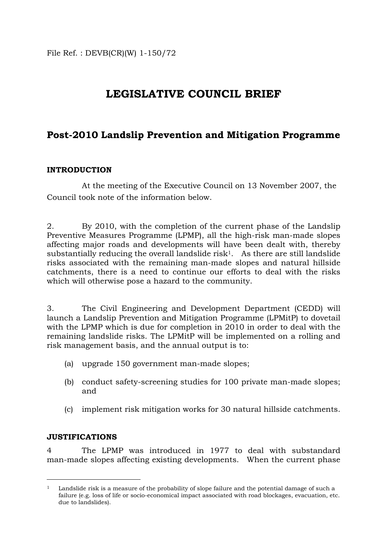# **LEGISLATIVE COUNCIL BRIEF**

# **Post-2010 Landslip Prevention and Mitigation Programme**

### **INTRODUCTION**

 At the meeting of the Executive Council on 13 November 2007, the Council took note of the information below.

2. By 2010, with the completion of the current phase of the Landslip Preventive Measures Programme (LPMP), all the high-risk man-made slopes affecting major roads and developments will have been dealt with, thereby substantially reducing the overall landslide risk<sup>1</sup>. As there are still landslide risks associated with the remaining man-made slopes and natural hillside catchments, there is a need to continue our efforts to deal with the risks which will otherwise pose a hazard to the community.

3. The Civil Engineering and Development Department (CEDD) will launch a Landslip Prevention and Mitigation Programme (LPMitP) to dovetail with the LPMP which is due for completion in 2010 in order to deal with the remaining landslide risks. The LPMitP will be implemented on a rolling and risk management basis, and the annual output is to:

- (a) upgrade 150 government man-made slopes;
- (b) conduct safety-screening studies for 100 private man-made slopes; and
- (c) implement risk mitigation works for 30 natural hillside catchments.

### **JUSTIFICATIONS**

 $\overline{a}$ 

4 The LPMP was introduced in 1977 to deal with substandard man-made slopes affecting existing developments. When the current phase

<span id="page-0-0"></span><sup>&</sup>lt;sup>1</sup> Landslide risk is a measure of the probability of slope failure and the potential damage of such a failure (e.g. loss of life or socio-economical impact associated with road blockages, evacuation, etc. due to landslides).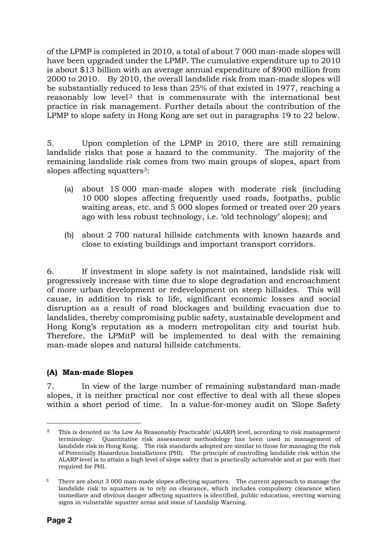of the LPMP is completed in 2010, a total of about 7 000 man-made slopes will have been upgraded under the LPMP. The cumulative expenditure up to 2010 is about \$13 billion with an average annual expenditure of \$900 million from 2000 to 2010. By 2010, the overall landslide risk from man-made slopes will be substantially reduced to less than 25% of that existed in 1977, reaching a reasonably low level<sup>[2](#page-1-0)</sup> that is commensurate with the international best practice in risk management. Further details about the contribution of the LPMP to slope safety in Hong Kong are set out in paragraphs 19 to 22 below.

5. Upon completion of the LPMP in 2010, there are still remaining landslide risks that pose a hazard to the community. The majority of the remaining landslide risk comes from two main groups of slopes, apart from slopes affecting squatters<sup>3</sup>:

- (a) about 15 000 man-made slopes with moderate risk (including 10 000 slopes affecting frequently used roads, footpaths, public waiting areas, etc. and 5 000 slopes formed or treated over 20 years ago with less robust technology, i.e. 'old technology' slopes); and
- (b) about 2 700 natural hillside catchments with known hazards and close to existing buildings and important transport corridors.

6. If investment in slope safety is not maintained, landslide risk will progressively increase with time due to slope degradation and encroachment of more urban development or redevelopment on steep hillsides. This will cause, in addition to risk to life, significant economic losses and social disruption as a result of road blockages and building evacuation due to landslides, thereby compromising public safety, sustainable development and Hong Kong's reputation as a modern metropolitan city and tourist hub. Therefore, the LPMitP will be implemented to deal with the remaining man-made slopes and natural hillside catchments.

### **(A) Man-made Slopes**

7. In view of the large number of remaining substandard man-made slopes, it is neither practical nor cost effective to deal with all these slopes within a short period of time. In a value-for-money audit on 'Slope Safety

 $\overline{a}$ 

<span id="page-1-0"></span><sup>2</sup> This is denoted as 'As Low As Reasonably Practicable' (ALARP) level, according to risk management terminology. Quantitative risk assessment methodology has been used in management of landslide risk in Hong Kong. The risk standards adopted are similar to those for managing the risk of Potentially Hazardous Installations (PHI). The principle of controlling landslide risk within the ALARP level is to attain a high level of slope safety that is practically achievable and at par with that required for PHI.

<span id="page-1-1"></span><sup>&</sup>lt;sup>3</sup> There are about 3 000 man-made slopes affecting squatters. The current approach to manage the landslide risk to squatters is to rely on clearance, which includes compulsory clearance when immediate and obvious danger affecting squatters is identified, public education, erecting warning signs in vulnerable squatter areas and issue of Landslip Warning.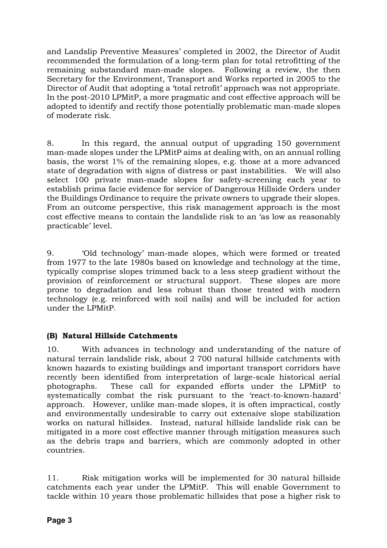and Landslip Preventive Measures' completed in 2002, the Director of Audit recommended the formulation of a long-term plan for total retrofitting of the remaining substandard man-made slopes. Following a review, the then Secretary for the Environment, Transport and Works reported in 2005 to the Director of Audit that adopting a 'total retrofit' approach was not appropriate. In the post-2010 LPMitP, a more pragmatic and cost effective approach will be adopted to identify and rectify those potentially problematic man-made slopes of moderate risk.

8. In this regard, the annual output of upgrading 150 government man-made slopes under the LPMitP aims at dealing with, on an annual rolling basis, the worst 1% of the remaining slopes, e.g. those at a more advanced state of degradation with signs of distress or past instabilities. We will also select 100 private man-made slopes for safety-screening each year to establish prima facie evidence for service of Dangerous Hillside Orders under the Buildings Ordinance to require the private owners to upgrade their slopes. From an outcome perspective, this risk management approach is the most cost effective means to contain the landslide risk to an 'as low as reasonably practicable' level.

9. 'Old technology' man-made slopes, which were formed or treated from 1977 to the late 1980s based on knowledge and technology at the time, typically comprise slopes trimmed back to a less steep gradient without the provision of reinforcement or structural support. These slopes are more prone to degradation and less robust than those treated with modern technology (e.g. reinforced with soil nails) and will be included for action under the LPMitP.

# **(B) Natural Hillside Catchments**

10. With advances in technology and understanding of the nature of natural terrain landslide risk, about 2 700 natural hillside catchments with known hazards to existing buildings and important transport corridors have recently been identified from interpretation of large-scale historical aerial photographs. These call for expanded efforts under the LPMitP to systematically combat the risk pursuant to the 'react-to-known-hazard' approach. However, unlike man-made slopes, it is often impractical, costly and environmentally undesirable to carry out extensive slope stabilization works on natural hillsides. Instead, natural hillside landslide risk can be mitigated in a more cost effective manner through mitigation measures such as the debris traps and barriers, which are commonly adopted in other countries.

11. Risk mitigation works will be implemented for 30 natural hillside catchments each year under the LPMitP. This will enable Government to tackle within 10 years those problematic hillsides that pose a higher risk to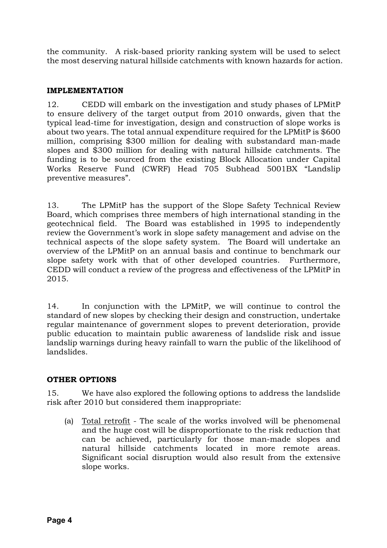the community. A risk-based priority ranking system will be used to select the most deserving natural hillside catchments with known hazards for action.

## **IMPLEMENTATION**

12. CEDD will embark on the investigation and study phases of LPMitP to ensure delivery of the target output from 2010 onwards, given that the typical lead-time for investigation, design and construction of slope works is about two years. The total annual expenditure required for the LPMitP is \$600 million, comprising \$300 million for dealing with substandard man-made slopes and \$300 million for dealing with natural hillside catchments. The funding is to be sourced from the existing Block Allocation under Capital Works Reserve Fund (CWRF) Head 705 Subhead 5001BX "Landslip preventive measures".

13. The LPMitP has the support of the Slope Safety Technical Review Board, which comprises three members of high international standing in the geotechnical field. The Board was established in 1995 to independently review the Government's work in slope safety management and advise on the technical aspects of the slope safety system. The Board will undertake an overview of the LPMitP on an annual basis and continue to benchmark our slope safety work with that of other developed countries. Furthermore, CEDD will conduct a review of the progress and effectiveness of the LPMitP in 2015.

14. In conjunction with the LPMitP, we will continue to control the standard of new slopes by checking their design and construction, undertake regular maintenance of government slopes to prevent deterioration, provide public education to maintain public awareness of landslide risk and issue landslip warnings during heavy rainfall to warn the public of the likelihood of landslides.

# **OTHER OPTIONS**

15. We have also explored the following options to address the landslide risk after 2010 but considered them inappropriate:

(a) Total retrofit - The scale of the works involved will be phenomenal and the huge cost will be disproportionate to the risk reduction that can be achieved, particularly for those man-made slopes and natural hillside catchments located in more remote areas. Significant social disruption would also result from the extensive slope works.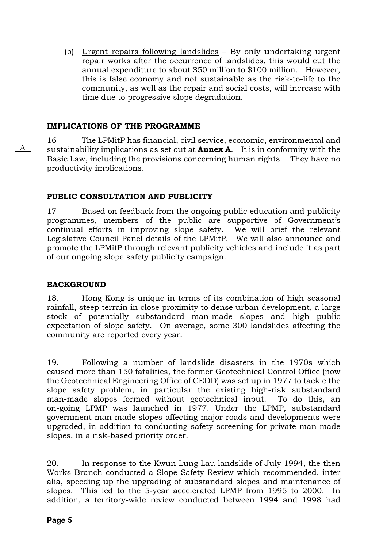(b) Urgent repairs following landslides – By only undertaking urgent repair works after the occurrence of landslides, this would cut the annual expenditure to about \$50 million to \$100 million. However, this is false economy and not sustainable as the risk-to-life to the community, as well as the repair and social costs, will increase with time due to progressive slope degradation.

## **IMPLICATIONS OF THE PROGRAMME**

16 The LPMitP has financial, civil service, economic, environmental and sustainability implications as set out at **Annex A**. It is in conformity with the Basic Law, including the provisions concerning human rights. They have no productivity implications.

### **PUBLIC CONSULTATION AND PUBLICITY**

17 Based on feedback from the ongoing public education and publicity programmes, members of the public are supportive of Government's continual efforts in improving slope safety. We will brief the relevant Legislative Council Panel details of the LPMitP. We will also announce and promote the LPMitP through relevant publicity vehicles and include it as part of our ongoing slope safety publicity campaign.

### **BACKGROUND**

A

18. Hong Kong is unique in terms of its combination of high seasonal rainfall, steep terrain in close proximity to dense urban development, a large stock of potentially substandard man-made slopes and high public expectation of slope safety. On average, some 300 landslides affecting the community are reported every year.

19. Following a number of landslide disasters in the 1970s which caused more than 150 fatalities, the former Geotechnical Control Office (now the Geotechnical Engineering Office of CEDD) was set up in 1977 to tackle the slope safety problem, in particular the existing high-risk substandard man-made slopes formed without geotechnical input. To do this, an on-going LPMP was launched in 1977. Under the LPMP, substandard government man-made slopes affecting major roads and developments were upgraded, in addition to conducting safety screening for private man-made slopes, in a risk-based priority order.

20. In response to the Kwun Lung Lau landslide of July 1994, the then Works Branch conducted a Slope Safety Review which recommended, inter alia, speeding up the upgrading of substandard slopes and maintenance of slopes. This led to the 5-year accelerated LPMP from 1995 to 2000. In addition, a territory-wide review conducted between 1994 and 1998 had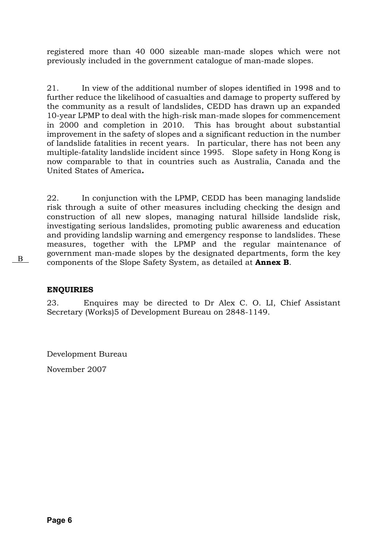registered more than 40 000 sizeable man-made slopes which were not previously included in the government catalogue of man-made slopes.

21. In view of the additional number of slopes identified in 1998 and to further reduce the likelihood of casualties and damage to property suffered by the community as a result of landslides, CEDD has drawn up an expanded 10-year LPMP to deal with the high-risk man-made slopes for commencement in 2000 and completion in 2010. This has brought about substantial improvement in the safety of slopes and a significant reduction in the number of landslide fatalities in recent years. In particular, there has not been any multiple-fatality landslide incident since 1995. Slope safety in Hong Kong is now comparable to that in countries such as Australia, Canada and the United States of America*.*

22. In conjunction with the LPMP, CEDD has been managing landslide risk through a suite of other measures including checking the design and construction of all new slopes, managing natural hillside landslide risk, investigating serious landslides, promoting public awareness and education and providing landslip warning and emergency response to landslides. These measures, together with the LPMP and the regular maintenance of government man-made slopes by the designated departments, form the key **EXECUTE:** THE TERM SUPPLET AND SERVICE AND COMPONENTS OF THE STATE STATES OF SAFETY SYSTEM, as detailed at **Annex B**.

### **ENQUIRIES**

23. Enquires may be directed to Dr Alex C. O. LI, Chief Assistant Secretary (Works)5 of Development Bureau on 2848-1149.

Development Bureau

November 2007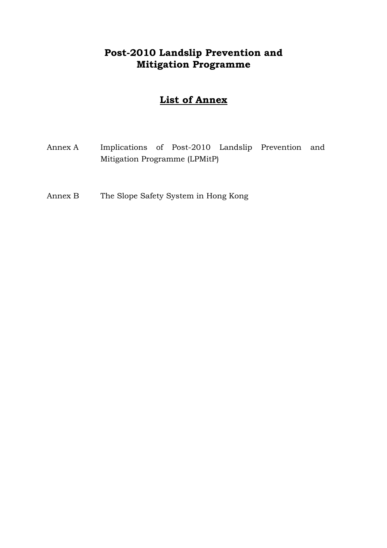# **Post-2010 Landslip Prevention and Mitigation Programme**

# **List of Annex**

- Annex A Implications of Post-2010 Landslip Prevention and Mitigation Programme (LPMitP)
- Annex B The Slope Safety System in Hong Kong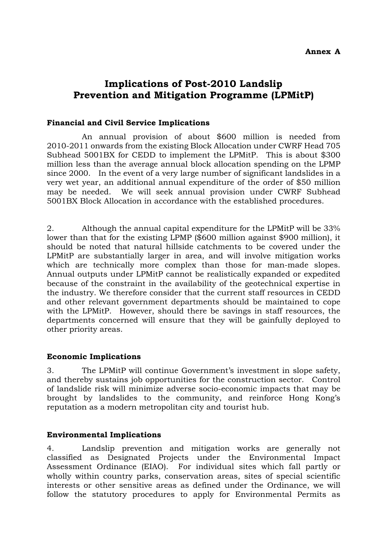### **Annex A**

# **Implications of Post-2010 Landslip Prevention and Mitigation Programme (LPMitP)**

#### **Financial and Civil Service Implications**

An annual provision of about \$600 million is needed from 2010-2011 onwards from the existing Block Allocation under CWRF Head 705 Subhead 5001BX for CEDD to implement the LPMitP. This is about \$300 million less than the average annual block allocation spending on the LPMP since 2000. In the event of a very large number of significant landslides in a very wet year, an additional annual expenditure of the order of \$50 million may be needed. We will seek annual provision under CWRF Subhead 5001BX Block Allocation in accordance with the established procedures.

2. Although the annual capital expenditure for the LPMitP will be 33% lower than that for the existing LPMP (\$600 million against \$900 million), it should be noted that natural hillside catchments to be covered under the LPMitP are substantially larger in area, and will involve mitigation works which are technically more complex than those for man-made slopes. Annual outputs under LPMitP cannot be realistically expanded or expedited because of the constraint in the availability of the geotechnical expertise in the industry. We therefore consider that the current staff resources in CEDD and other relevant government departments should be maintained to cope with the LPMitP. However, should there be savings in staff resources, the departments concerned will ensure that they will be gainfully deployed to other priority areas.

### **Economic Implications**

3. The LPMitP will continue Government's investment in slope safety, and thereby sustains job opportunities for the construction sector. Control of landslide risk will minimize adverse socio-economic impacts that may be brought by landslides to the community, and reinforce Hong Kong's reputation as a modern metropolitan city and tourist hub.

### **Environmental Implications**

4. Landslip prevention and mitigation works are generally not classified as Designated Projects under the Environmental Impact Assessment Ordinance (EIAO). For individual sites which fall partly or wholly within country parks, conservation areas, sites of special scientific interests or other sensitive areas as defined under the Ordinance, we will follow the statutory procedures to apply for Environmental Permits as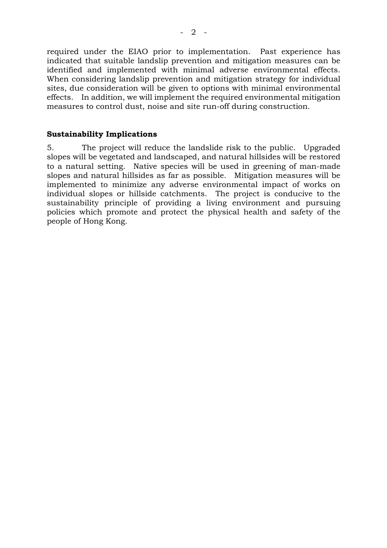required under the EIAO prior to implementation. Past experience has indicated that suitable landslip prevention and mitigation measures can be identified and implemented with minimal adverse environmental effects. When considering landslip prevention and mitigation strategy for individual sites, due consideration will be given to options with minimal environmental effects. In addition, we will implement the required environmental mitigation measures to control dust, noise and site run-off during construction.

#### **Sustainability Implications**

5. The project will reduce the landslide risk to the public. Upgraded slopes will be vegetated and landscaped, and natural hillsides will be restored to a natural setting. Native species will be used in greening of man-made slopes and natural hillsides as far as possible. Mitigation measures will be implemented to minimize any adverse environmental impact of works on individual slopes or hillside catchments. The project is conducive to the sustainability principle of providing a living environment and pursuing policies which promote and protect the physical health and safety of the people of Hong Kong*.*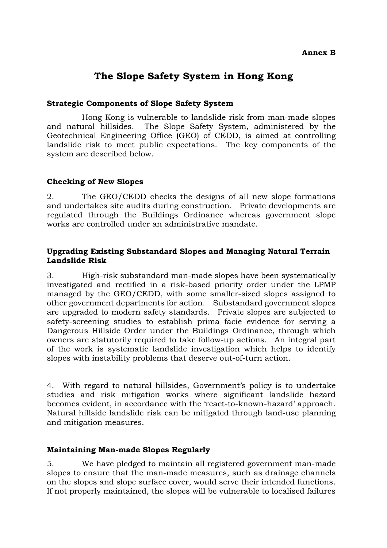### **Annex B**

# **The Slope Safety System in Hong Kong**

#### **Strategic Components of Slope Safety System**

Hong Kong is vulnerable to landslide risk from man-made slopes and natural hillsides. The Slope Safety System, administered by the Geotechnical Engineering Office (GEO) of CEDD, is aimed at controlling landslide risk to meet public expectations. The key components of the system are described below.

### **Checking of New Slopes**

2. The GEO/CEDD checks the designs of all new slope formations and undertakes site audits during construction. Private developments are regulated through the Buildings Ordinance whereas government slope works are controlled under an administrative mandate.

### **Upgrading Existing Substandard Slopes and Managing Natural Terrain Landslide Risk**

3. High-risk substandard man-made slopes have been systematically investigated and rectified in a risk-based priority order under the LPMP managed by the GEO/CEDD, with some smaller-sized slopes assigned to other government departments for action. Substandard government slopes are upgraded to modern safety standards. Private slopes are subjected to safety-screening studies to establish prima facie evidence for serving a Dangerous Hillside Order under the Buildings Ordinance, through which owners are statutorily required to take follow-up actions. An integral part of the work is systematic landslide investigation which helps to identify slopes with instability problems that deserve out-of-turn action.

4. With regard to natural hillsides, Government's policy is to undertake studies and risk mitigation works where significant landslide hazard becomes evident, in accordance with the 'react-to-known-hazard' approach. Natural hillside landslide risk can be mitigated through land-use planning and mitigation measures.

### **Maintaining Man-made Slopes Regularly**

5. We have pledged to maintain all registered government man-made slopes to ensure that the man-made measures, such as drainage channels on the slopes and slope surface cover, would serve their intended functions. If not properly maintained, the slopes will be vulnerable to localised failures